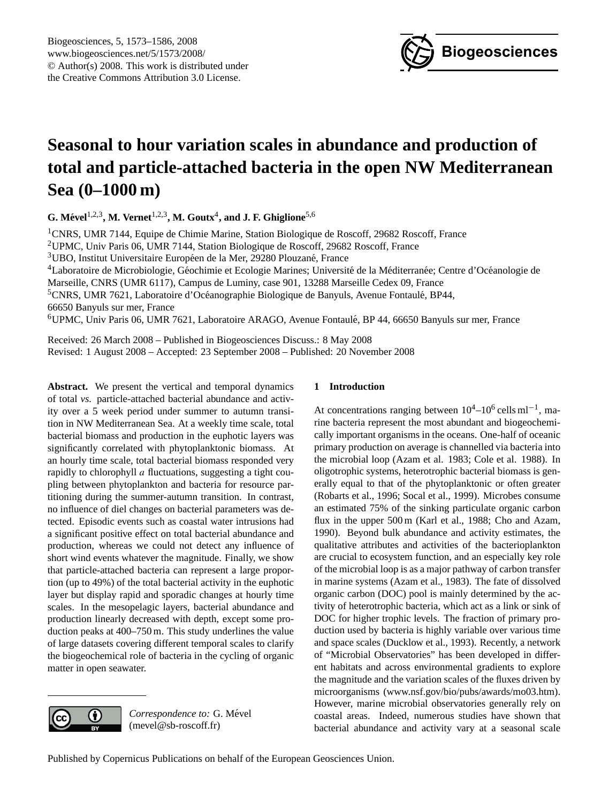

# <span id="page-0-0"></span>**Seasonal to hour variation scales in abundance and production of total and particle-attached bacteria in the open NW Mediterranean Sea (0–1000 m)**

**G. Mevel ´** 1,2,3**, M. Vernet**1,2,3**, M. Goutx**<sup>4</sup> **, and J. F. Ghiglione**5,6

<sup>1</sup>CNRS, UMR 7144, Equipe de Chimie Marine, Station Biologique de Roscoff, 29682 Roscoff, France <sup>2</sup>UPMC, Univ Paris 06, UMR 7144, Station Biologique de Roscoff, 29682 Roscoff, France  $3$ UBO, Institut Universitaire Européen de la Mer, 29280 Plouzané, France <sup>4</sup>Laboratoire de Microbiologie, Géochimie et Ecologie Marines; Université de la Méditerranée; Centre d'Océanologie de Marseille, CNRS (UMR 6117), Campus de Luminy, case 901, 13288 Marseille Cedex 09, France <sup>5</sup>CNRS, UMR 7621, Laboratoire d'Océanographie Biologique de Banyuls, Avenue Fontaulé, BP44, 66650 Banyuls sur mer, France <sup>6</sup>UPMC, Univ Paris 06, UMR 7621, Laboratoire ARAGO, Avenue Fontaule, BP 44, 66650 Banyuls sur mer, France ´

Received: 26 March 2008 – Published in Biogeosciences Discuss.: 8 May 2008 Revised: 1 August 2008 – Accepted: 23 September 2008 – Published: 20 November 2008

**Abstract.** We present the vertical and temporal dynamics of total *vs.* particle-attached bacterial abundance and activity over a 5 week period under summer to autumn transition in NW Mediterranean Sea. At a weekly time scale, total bacterial biomass and production in the euphotic layers was significantly correlated with phytoplanktonic biomass. At an hourly time scale, total bacterial biomass responded very rapidly to chlorophyll a fluctuations, suggesting a tight coupling between phytoplankton and bacteria for resource partitioning during the summer-autumn transition. In contrast, no influence of diel changes on bacterial parameters was detected. Episodic events such as coastal water intrusions had a significant positive effect on total bacterial abundance and production, whereas we could not detect any influence of short wind events whatever the magnitude. Finally, we show that particle-attached bacteria can represent a large proportion (up to 49%) of the total bacterial activity in the euphotic layer but display rapid and sporadic changes at hourly time scales. In the mesopelagic layers, bacterial abundance and production linearly decreased with depth, except some production peaks at 400–750 m. This study underlines the value of large datasets covering different temporal scales to clarify the biogeochemical role of bacteria in the cycling of organic matter in open seawater.



Correspondence to: G. Mével (mevel@sb-roscoff.fr)

## **1 Introduction**

At concentrations ranging between  $10^4 - 10^6$  cells ml<sup>-1</sup>, marine bacteria represent the most abundant and biogeochemically important organisms in the oceans. One-half of oceanic primary production on average is channelled via bacteria into the microbial loop (Azam et al. 1983; Cole et al. 1988). In oligotrophic systems, heterotrophic bacterial biomass is generally equal to that of the phytoplanktonic or often greater (Robarts et al., 1996; Socal et al., 1999). Microbes consume an estimated 75% of the sinking particulate organic carbon flux in the upper 500 m (Karl et al., 1988; Cho and Azam, 1990). Beyond bulk abundance and activity estimates, the qualitative attributes and activities of the bacterioplankton are crucial to ecosystem function, and an especially key role of the microbial loop is as a major pathway of carbon transfer in marine systems (Azam et al., 1983). The fate of dissolved organic carbon (DOC) pool is mainly determined by the activity of heterotrophic bacteria, which act as a link or sink of DOC for higher trophic levels. The fraction of primary production used by bacteria is highly variable over various time and space scales (Ducklow et al., 1993). Recently, a network of "Microbial Observatories" has been developed in different habitats and across environmental gradients to explore the magnitude and the variation scales of the fluxes driven by microorganisms [\(www.nsf.gov/bio/pubs/awards/mo03.htm\)](www.nsf.gov/bio/pubs/awards/mo03.htm). However, marine microbial observatories generally rely on coastal areas. Indeed, numerous studies have shown that bacterial abundance and activity vary at a seasonal scale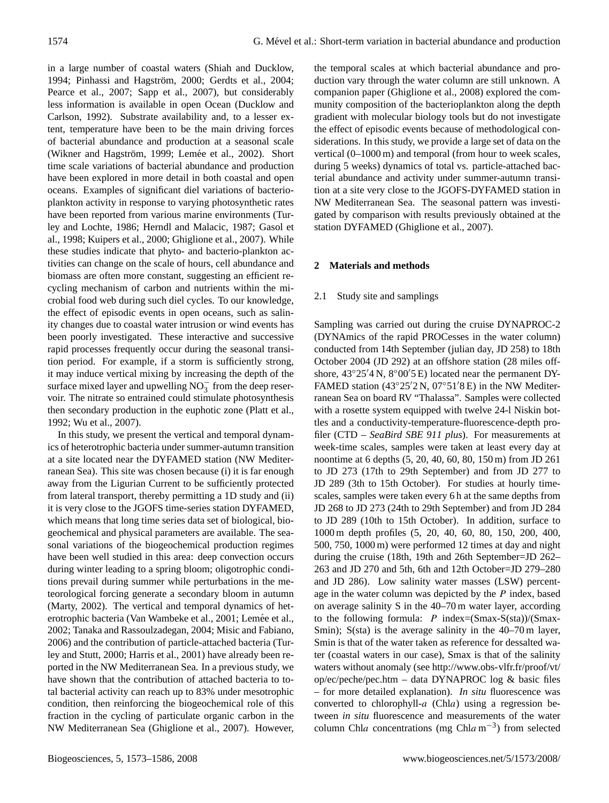in a large number of coastal waters (Shiah and Ducklow, 1994; Pinhassi and Hagström, 2000; Gerdts et al., 2004; Pearce et al., 2007; Sapp et al., 2007), but considerably less information is available in open Ocean (Ducklow and Carlson, 1992). Substrate availability and, to a lesser extent, temperature have been to be the main driving forces of bacterial abundance and production at a seasonal scale (Wikner and Hagström, 1999; Lemée et al., 2002). Short time scale variations of bacterial abundance and production have been explored in more detail in both coastal and open oceans. Examples of significant diel variations of bacterioplankton activity in response to varying photosynthetic rates have been reported from various marine environments (Turley and Lochte, 1986; Herndl and Malacic, 1987; Gasol et al., 1998; Kuipers et al., 2000; Ghiglione et al., 2007). While these studies indicate that phyto- and bacterio-plankton activities can change on the scale of hours, cell abundance and biomass are often more constant, suggesting an efficient recycling mechanism of carbon and nutrients within the microbial food web during such diel cycles. To our knowledge, the effect of episodic events in open oceans, such as salinity changes due to coastal water intrusion or wind events has been poorly investigated. These interactive and successive rapid processes frequently occur during the seasonal transition period. For example, if a storm is sufficiently strong, it may induce vertical mixing by increasing the depth of the surface mixed layer and upwelling  $NO_3^-$  from the deep reservoir. The nitrate so entrained could stimulate photosynthesis then secondary production in the euphotic zone (Platt et al., 1992; Wu et al., 2007).

In this study, we present the vertical and temporal dynamics of heterotrophic bacteria under summer-autumn transition at a site located near the DYFAMED station (NW Mediterranean Sea). This site was chosen because (i) it is far enough away from the Ligurian Current to be sufficiently protected from lateral transport, thereby permitting a 1D study and (ii) it is very close to the JGOFS time-series station DYFAMED, which means that long time series data set of biological, biogeochemical and physical parameters are available. The seasonal variations of the biogeochemical production regimes have been well studied in this area: deep convection occurs during winter leading to a spring bloom; oligotrophic conditions prevail during summer while perturbations in the meteorological forcing generate a secondary bloom in autumn (Marty, 2002). The vertical and temporal dynamics of heterotrophic bacteria (Van Wambeke et al., 2001; Lemée et al., 2002; Tanaka and Rassoulzadegan, 2004; Misic and Fabiano, 2006) and the contribution of particle-attached bacteria (Turley and Stutt, 2000; Harris et al., 2001) have already been reported in the NW Mediterranean Sea. In a previous study, we have shown that the contribution of attached bacteria to total bacterial activity can reach up to 83% under mesotrophic condition, then reinforcing the biogeochemical role of this fraction in the cycling of particulate organic carbon in the NW Mediterranean Sea (Ghiglione et al., 2007). However, the temporal scales at which bacterial abundance and production vary through the water column are still unknown. A companion paper (Ghiglione et al., 2008) explored the community composition of the bacterioplankton along the depth gradient with molecular biology tools but do not investigate the effect of episodic events because of methodological considerations. In this study, we provide a large set of data on the vertical (0–1000 m) and temporal (from hour to week scales, during 5 weeks) dynamics of total vs. particle-attached bacterial abundance and activity under summer-autumn transition at a site very close to the JGOFS-DYFAMED station in NW Mediterranean Sea. The seasonal pattern was investigated by comparison with results previously obtained at the station DYFAMED (Ghiglione et al., 2007).

## **2 Materials and methods**

#### 2.1 Study site and samplings

Sampling was carried out during the cruise DYNAPROC-2 (DYNAmics of the rapid PROCesses in the water column) conducted from 14th September (julian day, JD 258) to 18th October 2004 (JD 292) at an offshore station (28 miles offshore,  $43°25'4 \text{ N}$ ,  $8°00'5 \text{ E}$ ) located near the permanent DY-FAMED station (43°25′2 N, 07°51′8 E) in the NW Mediterranean Sea on board RV "Thalassa". Samples were collected with a rosette system equipped with twelve 24-l Niskin bottles and a conductivity-temperature-fluorescence-depth profiler (CTD – *SeaBird SBE 911 plus*). For measurements at week-time scales, samples were taken at least every day at noontime at 6 depths (5, 20, 40, 60, 80, 150 m) from JD 261 to JD 273 (17th to 29th September) and from JD 277 to JD 289 (3th to 15th October). For studies at hourly timescales, samples were taken every 6 h at the same depths from JD 268 to JD 273 (24th to 29th September) and from JD 284 to JD 289 (10th to 15th October). In addition, surface to 1000 m depth profiles (5, 20, 40, 60, 80, 150, 200, 400, 500, 750, 1000 m) were performed 12 times at day and night during the cruise (18th, 19th and 26th September=JD 262– 263 and JD 270 and 5th, 6th and 12th October=JD 279–280 and JD 286). Low salinity water masses (LSW) percentage in the water column was depicted by the P index, based on average salinity S in the 40–70 m water layer, according to the following formula:  $P$  index=(Smax-S(sta))/(Smax-Smin); S(sta) is the average salinity in the 40–70 m layer, Smin is that of the water taken as reference for dessalted water (coastal waters in our case), Smax is that of the salinity waters without anomaly (see [http://www.obs-vlfr.fr/proof/vt/](http://www.obs-vlfr.fr/proof/vt/op/ec/peche/pec.htm) [op/ec/peche/pec.htm](http://www.obs-vlfr.fr/proof/vt/op/ec/peche/pec.htm) – data DYNAPROC log & basic files – for more detailed explanation). *In situ* fluorescence was converted to chlorophyll- $a$  (Chla) using a regression between *in situ* fluorescence and measurements of the water column Chla concentrations (mg Chla m<sup>-3</sup>) from selected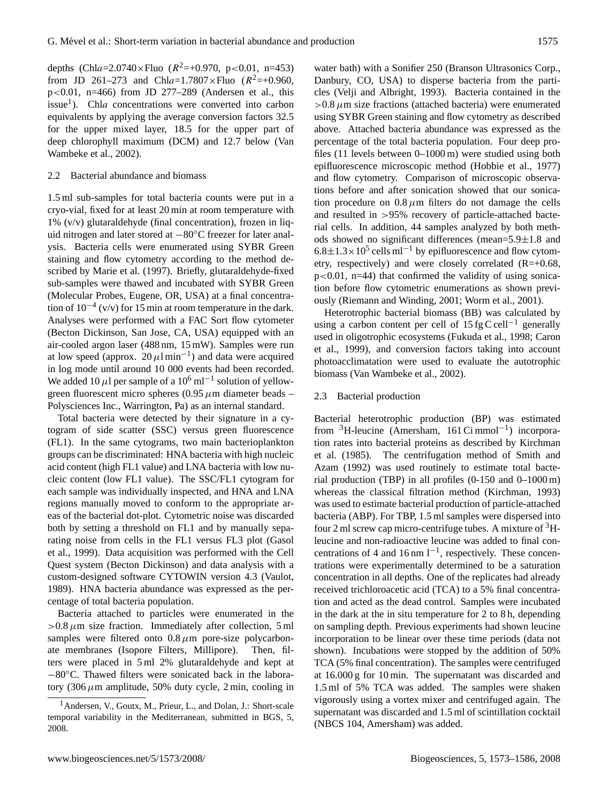depths (Chla=2.0740×Fluo ( $R^2$ =+0.970, p<0.01, n=453) from JD 261–273 and Chla=1.7807×Fluo  $(R^2=+0.960,$ p<0.01, n=466) from JD 277–289 (Andersen et al., this issue<sup>[1](#page-2-0)</sup>). Chla concentrations were converted into carbon equivalents by applying the average conversion factors 32.5 for the upper mixed layer, 18.5 for the upper part of deep chlorophyll maximum (DCM) and 12.7 below (Van Wambeke et al., 2002).

#### 2.2 Bacterial abundance and biomass

1.5 ml sub-samples for total bacteria counts were put in a cryo-vial, fixed for at least 20 min at room temperature with  $1\%$  (v/v) glutaraldehyde (final concentration), frozen in liquid nitrogen and later stored at −80◦C freezer for later analysis. Bacteria cells were enumerated using SYBR Green staining and flow cytometry according to the method described by Marie et al. (1997). Briefly, glutaraldehyde-fixed sub-samples were thawed and incubated with SYBR Green (Molecular Probes, Eugene, OR, USA) at a final concentration of  $10^{-4}$  (v/v) for 15 min at room temperature in the dark. Analyses were performed with a FAC Sort flow cytometer (Becton Dickinson, San Jose, CA, USA) equipped with an air-cooled argon laser (488 nm, 15 mW). Samples were run at low speed (approx.  $20 \mu l \text{min}^{-1}$ ) and data were acquired in log mode until around 10 000 events had been recorded. We added 10  $\mu$ l per sample of a 10<sup>6</sup> ml<sup>-1</sup> solution of yellowgreen fluorescent micro spheres (0.95  $\mu$ m diameter beads – Polysciences Inc., Warrington, Pa) as an internal standard.

Total bacteria were detected by their signature in a cytogram of side scatter (SSC) versus green fluorescence (FL1). In the same cytograms, two main bacterioplankton groups can be discriminated: HNA bacteria with high nucleic acid content (high FL1 value) and LNA bacteria with low nucleic content (low FL1 value). The SSC/FL1 cytogram for each sample was individually inspected, and HNA and LNA regions manually moved to conform to the appropriate areas of the bacterial dot-plot. Cytometric noise was discarded both by setting a threshold on FL1 and by manually separating noise from cells in the FL1 versus FL3 plot (Gasol et al., 1999). Data acquisition was performed with the Cell Quest system (Becton Dickinson) and data analysis with a custom-designed software CYTOWIN version 4.3 (Vaulot, 1989). HNA bacteria abundance was expressed as the percentage of total bacteria population.

Bacteria attached to particles were enumerated in the  $>0.8 \mu$ m size fraction. Immediately after collection, 5 ml samples were filtered onto  $0.8 \mu m$  pore-size polycarbonate membranes (Isopore Filters, Millipore). Then, filters were placed in 5 ml 2% glutaraldehyde and kept at −80◦C. Thawed filters were sonicated back in the laboratory (306  $\mu$ m amplitude, 50% duty cycle, 2 min, cooling in

water bath) with a Sonifier 250 (Branson Ultrasonics Corp., Danbury, CO, USA) to disperse bacteria from the particles (Velji and Albright, 1993). Bacteria contained in the  $>0.8 \mu$ m size fractions (attached bacteria) were enumerated using SYBR Green staining and flow cytometry as described above. Attached bacteria abundance was expressed as the percentage of the total bacteria population. Four deep profiles (11 levels between 0–1000 m) were studied using both epifluorescence microscopic method (Hobbie et al., 1977) and flow cytometry. Comparison of microscopic observations before and after sonication showed that our sonication procedure on  $0.8 \mu m$  filters do not damage the cells and resulted in >95% recovery of particle-attached bacterial cells. In addition, 44 samples analyzed by both methods showed no significant differences (mean=5.9±1.8 and  $6.8 \pm 1.3 \times 10^5$  cells ml<sup>-1</sup> by epifluorescence and flow cytometry, respectively) and were closely correlated  $(R=+0.68,$  $p<0.01$ ,  $n=44$ ) that confirmed the validity of using sonication before flow cytometric enumerations as shown previously (Riemann and Winding, 2001; Worm et al., 2001).

Heterotrophic bacterial biomass (BB) was calculated by using a carbon content per cell of  $15$  fg C cell<sup>-1</sup> generally used in oligotrophic ecosystems (Fukuda et al., 1998; Caron et al., 1999), and conversion factors taking into account photoacclimatation were used to evaluate the autotrophic biomass (Van Wambeke et al., 2002).

#### 2.3 Bacterial production

Bacterial heterotrophic production (BP) was estimated from <sup>3</sup>H-leucine (Amersham, 161 Ci mmol−<sup>1</sup> ) incorporation rates into bacterial proteins as described by Kirchman et al. (1985). The centrifugation method of Smith and Azam (1992) was used routinely to estimate total bacterial production (TBP) in all profiles (0-150 and 0–1000 m) whereas the classical filtration method (Kirchman, 1993) was used to estimate bacterial production of particle-attached bacteria (ABP). For TBP, 1.5 ml samples were dispersed into four 2 ml screw cap micro-centrifuge tubes. A mixture of  ${}^{3}$ Hleucine and non-radioactive leucine was added to final concentrations of 4 and 16 nm  $1^{-1}$ , respectively. These concentrations were experimentally determined to be a saturation concentration in all depths. One of the replicates had already received trichloroacetic acid (TCA) to a 5% final concentration and acted as the dead control. Samples were incubated in the dark at the in situ temperature for 2 to 8 h, depending on sampling depth. Previous experiments had shown leucine incorporation to be linear over these time periods (data not shown). Incubations were stopped by the addition of 50% TCA (5% final concentration). The samples were centrifuged at 16.000 g for 10 min. The supernatant was discarded and 1.5 ml of 5% TCA was added. The samples were shaken vigorously using a vortex mixer and centrifuged again. The supernatant was discarded and 1.5 ml of scintillation cocktail (NBCS 104, Amersham) was added.

<span id="page-2-0"></span><sup>1</sup>Andersen, V., Goutx, M., Prieur, L., and Dolan, J.: Short-scale temporal variability in the Mediterranean, submitted in BGS, 5, 2008.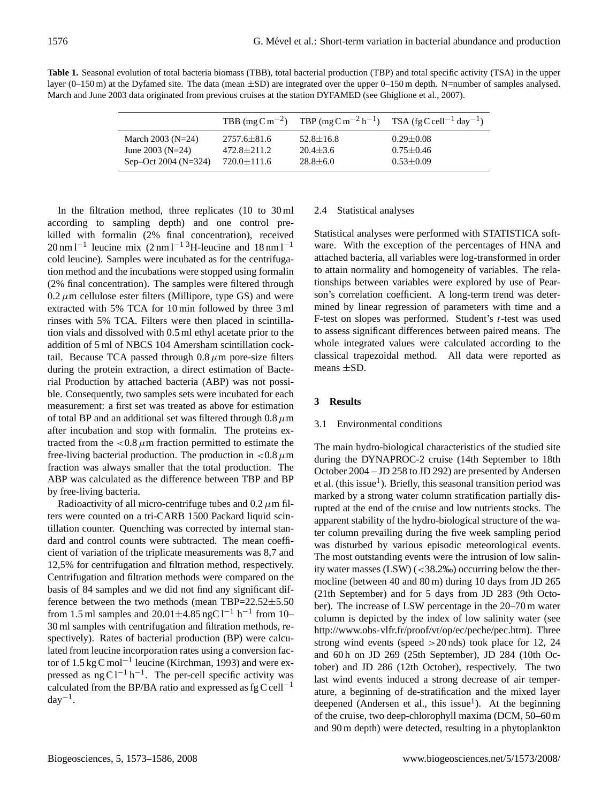| <b>Table 1.</b> Seasonal evolution of total bacteria biomass (TBB), total bacterial production (TBP) and total specific activity (TSA) in the upper |
|-----------------------------------------------------------------------------------------------------------------------------------------------------|
| layer $(0-150 \text{ m})$ at the Dyfamed site. The data (mean $\pm$ SD) are integrated over the upper 0–150 m depth. N=number of samples analysed.  |
| March and June 2003 data originated from previous cruises at the station DYFAMED (see Ghiglione et al., 2007).                                      |

|                       |                   |                 | TBB $\text{(mg C m}^{-2})$ TBP $\text{(mg C m}^{-2} \text{h}^{-1})$ TSA $\text{(fg C cell}^{-1} \text{day}^{-1})$ |
|-----------------------|-------------------|-----------------|-------------------------------------------------------------------------------------------------------------------|
| March 2003 ( $N=24$ ) | $2757.6 \pm 81.6$ | $52.8 \pm 16.8$ | $0.29 \pm 0.08$                                                                                                   |
| June 2003 ( $N=24$ )  | $472.8 \pm 211.2$ | $20.4 \pm 3.6$  | $0.75 \pm 0.46$                                                                                                   |
| Sep-Oct 2004 (N=324)  | $720.0 \pm 111.6$ | $28.8 \pm 6.0$  | $0.53 \pm 0.09$                                                                                                   |

In the filtration method, three replicates (10 to 30 ml according to sampling depth) and one control prekilled with formalin (2% final concentration), received  $20 \text{ nm} 1^{-1}$  leucine mix  $(2 \text{ nm} 1^{-1} 3)$ H-leucine and  $18 \text{ nm} 1^{-1}$ cold leucine). Samples were incubated as for the centrifugation method and the incubations were stopped using formalin (2% final concentration). The samples were filtered through  $0.2 \mu$ m cellulose ester filters (Millipore, type GS) and were extracted with 5% TCA for 10 min followed by three 3 ml rinses with 5% TCA. Filters were then placed in scintillation vials and dissolved with 0.5 ml ethyl acetate prior to the addition of 5 ml of NBCS 104 Amersham scintillation cocktail. Because TCA passed through  $0.8 \mu$ m pore-size filters during the protein extraction, a direct estimation of Bacterial Production by attached bacteria (ABP) was not possible. Consequently, two samples sets were incubated for each measurement: a first set was treated as above for estimation of total BP and an additional set was filtered through  $0.8 \mu m$ after incubation and stop with formalin. The proteins extracted from the  $\langle 0.8 \mu \text{m} \rangle$  fraction permitted to estimate the free-living bacterial production. The production in  $\langle 0.8 \mu m \rangle$ fraction was always smaller that the total production. The ABP was calculated as the difference between TBP and BP by free-living bacteria.

Radioactivity of all micro-centrifuge tubes and  $0.2 \mu$ m filters were counted on a tri-CARB 1500 Packard liquid scintillation counter. Quenching was corrected by internal standard and control counts were subtracted. The mean coefficient of variation of the triplicate measurements was 8,7 and 12,5% for centrifugation and filtration method, respectively. Centrifugation and filtration methods were compared on the basis of 84 samples and we did not find any significant difference between the two methods (mean TBP=22.52±5.50 from 1.5 ml samples and  $20.01 \pm 4.85$  ngC l<sup>-1</sup> h<sup>-1</sup> from 10-30 ml samples with centrifugation and filtration methods, respectively). Rates of bacterial production (BP) were calculated from leucine incorporation rates using a conversion factor of 1.5 kg C mol−<sup>1</sup> leucine (Kirchman, 1993) and were expressed as  $ng C l^{-1} h^{-1}$ . The per-cell specific activity was calculated from the BP/BA ratio and expressed as  $fgC$  cell<sup>-1</sup>  $day^{-1}$ .

## 2.4 Statistical analyses

Statistical analyses were performed with STATISTICA software. With the exception of the percentages of HNA and attached bacteria, all variables were log-transformed in order to attain normality and homogeneity of variables. The relationships between variables were explored by use of Pearson's correlation coefficient. A long-term trend was determined by linear regression of parameters with time and a F-test on slopes was performed. Student's t-test was used to assess significant differences between paired means. The whole integrated values were calculated according to the classical trapezoidal method. All data were reported as means ±SD.

## **3 Results**

## 3.1 Environmental conditions

The main hydro-biological characteristics of the studied site during the DYNAPROC-2 cruise (14th September to 18th October 2004 – JD 258 to JD 292) are presented by Andersen et al. (this issue<sup>1</sup>). Briefly, this seasonal transition period was marked by a strong water column stratification partially disrupted at the end of the cruise and low nutrients stocks. The apparent stability of the hydro-biological structure of the water column prevailing during the five week sampling period was disturbed by various episodic meteorological events. The most outstanding events were the intrusion of low salinity water masses (LSW) (<38.2‰) occurring below the thermocline (between 40 and 80 m) during 10 days from JD 265 (21th September) and for 5 days from JD 283 (9th October). The increase of LSW percentage in the 20–70 m water column is depicted by the index of low salinity water (see [http://www.obs-vlfr.fr/proof/vt/op/ec/peche/pec.htm\)](http://www.obs-vlfr.fr/proof/vt/op/ec/peche/pec.htm). Three strong wind events (speed >20 nds) took place for 12, 24 and 60 h on JD 269 (25th September), JD 284 (10th October) and JD 286 (12th October), respectively. The two last wind events induced a strong decrease of air temperature, a beginning of de-stratification and the mixed layer deepened (Andersen et al., this issue<sup>1</sup>). At the beginning of the cruise, two deep-chlorophyll maxima (DCM, 50–60 m and 90 m depth) were detected, resulting in a phytoplankton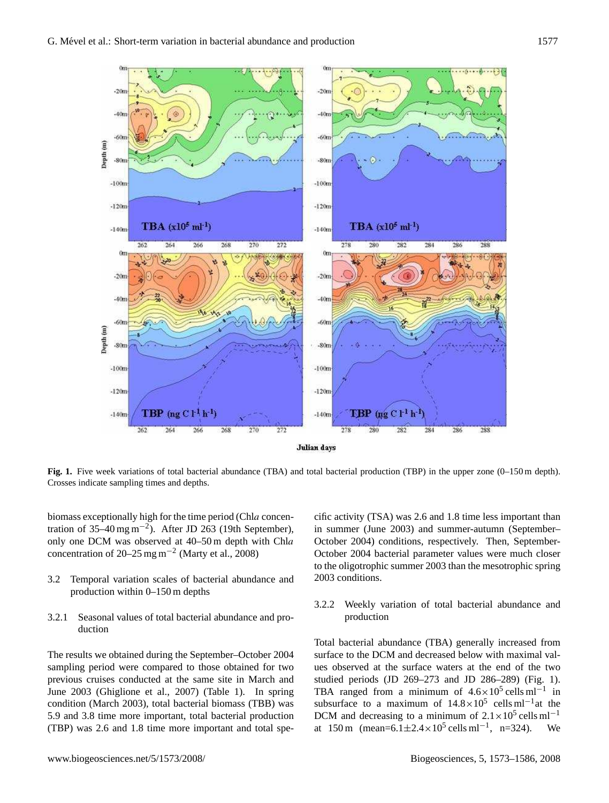

**Fig. 1.** Five week variations of total bacterial abundance (TBA) and total bacterial production (TBP) in the upper zone (0–150 m depth). Crosses indicate sampling times and depths.

biomass exceptionally high for the time period (Chla concentration of 35–40 mg m<sup>-2</sup>). After JD 263 (19th September), only one DCM was observed at 40–50 m depth with Chla concentration of 20–25 mg m<sup>-2</sup> (Marty et al., 2008)

- 3.2 Temporal variation scales of bacterial abundance and production within 0–150 m depths
- 3.2.1 Seasonal values of total bacterial abundance and production

The results we obtained during the September–October 2004 sampling period were compared to those obtained for two previous cruises conducted at the same site in March and June 2003 (Ghiglione et al., 2007) (Table 1). In spring condition (March 2003), total bacterial biomass (TBB) was 5.9 and 3.8 time more important, total bacterial production (TBP) was 2.6 and 1.8 time more important and total specific activity (TSA) was 2.6 and 1.8 time less important than in summer (June 2003) and summer-autumn (September– October 2004) conditions, respectively. Then, September-October 2004 bacterial parameter values were much closer to the oligotrophic summer 2003 than the mesotrophic spring 2003 conditions.

3.2.2 Weekly variation of total bacterial abundance and production

TBA ranged from a minimum of  $4.6 \times 10^5$  cells ml<sup>-1</sup> in Total bacterial abundance (TBA) generally increased from surface to the DCM and decreased below with maximal values observed at the surface waters at the end of the two studied periods (JD 269–273 and JD 286–289) (Fig. 1). subsurface to a maximum of  $14.8 \times 10^5$  cells ml<sup>-1</sup>at the DCM and decreasing to a minimum of  $2.1 \times 10^5$  cells ml<sup>-1</sup> at 150 m (mean= $6.1 \pm 2.4 \times 10^5$  cells ml<sup>-1</sup>, n=324). We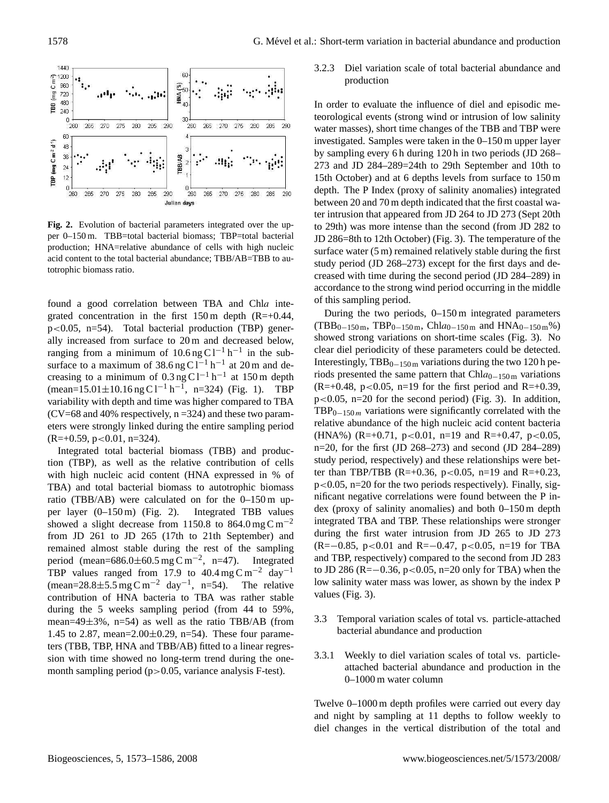

**Fig. 2.** Evolution of bacterial parameters integrated over the upper 0–150 m. TBB=total bacterial biomass; TBP=total bacterial production; HNA=relative abundance of cells with high nucleic acid content to the total bacterial abundance; TBB/AB=TBB to autotrophic biomass ratio.

found a good correlation between TBA and Chla integrated concentration in the first  $150 \text{ m}$  depth (R=+0.44, p<0.05, n=54). Total bacterial production (TBP) generally increased from surface to 20 m and decreased below, ranging from a minimum of  $10.6$  ng C l<sup>-1</sup> h<sup>-1</sup> in the subsurface to a maximum of  $38.6$  ng C l<sup>-1</sup> h<sup>-1</sup> at 20 m and decreasing to a minimum of  $0.3 \text{ ng } Cl^{-1} \text{ h}^{-1}$  at 150 m depth  $(\text{mean}=15.01\pm10.16 \text{ ng C } 1^{-1} \text{ h}^{-1}, \text{ n=324})$  (Fig. 1). TBP variability with depth and time was higher compared to TBA  $(CV=68$  and 40% respectively,  $n = 324$ ) and these two parameters were strongly linked during the entire sampling period  $(R=+0.59, p<0.01, n=324)$ .

Integrated total bacterial biomass (TBB) and production (TBP), as well as the relative contribution of cells with high nucleic acid content (HNA expressed in % of TBA) and total bacterial biomass to autotrophic biomass ratio (TBB/AB) were calculated on for the 0–150 m upper layer (0–150 m) (Fig. 2). Integrated TBB values showed a slight decrease from 1150.8 to 864.0 mg C m<sup>-2</sup> from JD 261 to JD 265 (17th to 21th September) and remained almost stable during the rest of the sampling period (mean= $686.0 \pm 60.5$  mg C m<sup>-2</sup>, n=47). Integrated TBP values ranged from 17.9 to  $40.4 \text{ mg C m}^{-2}$  day<sup>-1</sup>  $(\text{mean}=28.8\pm5.5 \text{ mg C m}^{-2} \text{ day}^{-1}, \text{ n=54}).$ The relative contribution of HNA bacteria to TBA was rather stable during the 5 weeks sampling period (from 44 to 59%, mean=49 $\pm$ 3%, n=54) as well as the ratio TBB/AB (from 1.45 to 2.87, mean= $2.00 \pm 0.29$ , n=54). These four parameters (TBB, TBP, HNA and TBB/AB) fitted to a linear regression with time showed no long-term trend during the onemonth sampling period (p>0.05, variance analysis F-test).

3.2.3 Diel variation scale of total bacterial abundance and production

In order to evaluate the influence of diel and episodic meteorological events (strong wind or intrusion of low salinity water masses), short time changes of the TBB and TBP were investigated. Samples were taken in the 0–150 m upper layer by sampling every 6 h during 120 h in two periods (JD 268– 273 and JD 284–289=24th to 29th September and 10th to 15th October) and at 6 depths levels from surface to 150 m depth. The P Index (proxy of salinity anomalies) integrated between 20 and 70 m depth indicated that the first coastal water intrusion that appeared from JD 264 to JD 273 (Sept 20th to 29th) was more intense than the second (from JD 282 to JD 286=8th to 12th October) (Fig. 3). The temperature of the surface water (5 m) remained relatively stable during the first study period (JD 268–273) except for the first days and decreased with time during the second period (JD 284–289) in accordance to the strong wind period occurring in the middle of this sampling period.

 $n=20$ , for the first (JD 268–273) and second (JD 284–289) During the two periods, 0–150 m integrated parameters  $(TBB<sub>0-150 m</sub>, TBP<sub>0-150 m</sub>, Chl*a*<sub>0-150 m</sub> and HNA<sub>0-150 m</sub>%)$ showed strong variations on short-time scales (Fig. 3). No clear diel periodicity of these parameters could be detected. Interestingly,  $TBB_{0-150 \text{m}}$  variations during the two 120 h periods presented the same pattern that Chl $a_{0-150 \text{ m}}$  variations  $(R=+0.48, p<0.05, n=19$  for the first period and R=+0.39,  $p<0.05$ ,  $n=20$  for the second period) (Fig. 3). In addition,  $TBP_{0-150m}$  variations were significantly correlated with the relative abundance of the high nucleic acid content bacteria (HNA%) (R=+0.71, p<0.01, n=19 and R=+0.47, p<0.05, study period, respectively) and these relationships were better than TBP/TBB (R=+0.36, p<0.05, n=19 and R=+0.23,  $p<0.05$ ,  $n=20$  for the two periods respectively). Finally, significant negative correlations were found between the P index (proxy of salinity anomalies) and both 0–150 m depth integrated TBA and TBP. These relationships were stronger during the first water intrusion from JD 265 to JD 273 (R=−0.85, p<0.01 and R=−0.47, p<0.05, n=19 for TBA and TBP, respectively) compared to the second from JD 283 to JD 286 (R=−0.36, p<0.05, n=20 only for TBA) when the low salinity water mass was lower, as shown by the index P values (Fig. 3).

- 3.3 Temporal variation scales of total vs. particle-attached bacterial abundance and production
- 3.3.1 Weekly to diel variation scales of total vs. particleattached bacterial abundance and production in the 0–1000 m water column

Twelve 0–1000 m depth profiles were carried out every day and night by sampling at 11 depths to follow weekly to diel changes in the vertical distribution of the total and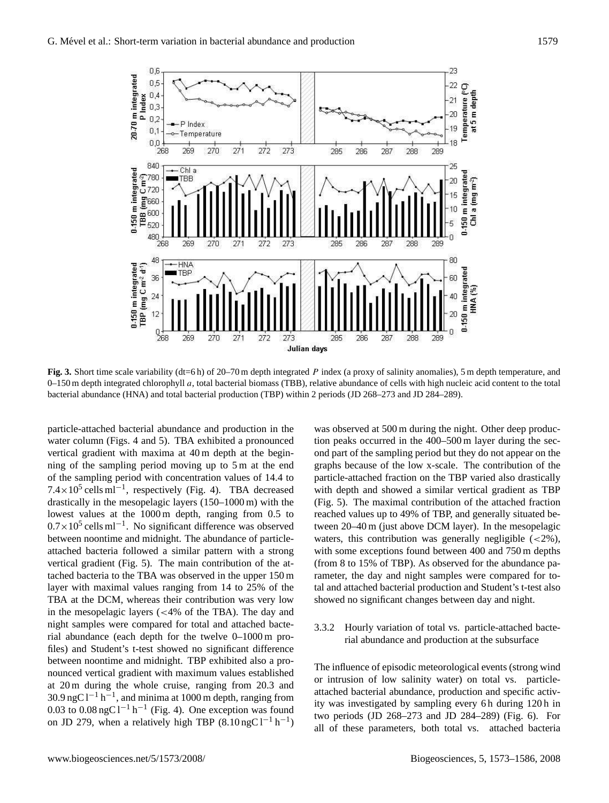

**Fig. 3.** Short time scale variability (dt=6 h) of 20–70 m depth integrated P index (a proxy of salinity anomalies), 5 m depth temperature, and  $0-150$  m depth integrated chlorophyll  $a$ , total bacterial biomass (TBB), relative abundance of cells with high nucleic acid content to the total bacterial abundance (HNA) and total bacterial production (TBP) within 2 periods (JD 268–273 and JD 284–289).

 $1.4 \times 10$  cens in correctively (Fig. 4). TBA decreased drastically in the mesopelagic layers (150–1000 m) with the particle-attached bacterial abundance and production in the water column (Figs. 4 and 5). TBA exhibited a pronounced vertical gradient with maxima at 40 m depth at the beginning of the sampling period moving up to 5 m at the end of the sampling period with concentration values of 14.4 to  $7.4 \times 10^5$  cells ml<sup>-1</sup>, respectively (Fig. 4). TBA decreased lowest values at the 1000 m depth, ranging from 0.5 to 0.7×10<sup>5</sup> cells ml<sup>-1</sup>. No significant difference was observed between noontime and midnight. The abundance of particleattached bacteria followed a similar pattern with a strong vertical gradient (Fig. 5). The main contribution of the attached bacteria to the TBA was observed in the upper 150 m layer with maximal values ranging from 14 to 25% of the TBA at the DCM, whereas their contribution was very low in the mesopelagic layers (<4% of the TBA). The day and night samples were compared for total and attached bacterial abundance (each depth for the twelve 0–1000 m profiles) and Student's t-test showed no significant difference between noontime and midnight. TBP exhibited also a pronounced vertical gradient with maximum values established at 20 m during the whole cruise, ranging from 20.3 and  $30.9$  ngC l<sup>-1</sup> h<sup>-1</sup>, and minima at 1000 m depth, ranging from 0.03 to  $0.08 \text{ ngC } 1^{-1} \text{ h}^{-1}$  (Fig. 4). One exception was found on JD 279, when a relatively high TBP  $(8.10 \text{ ngC} 1^{-1} \text{ h}^{-1})$ 

showed no significant changes between day and night. was observed at 500 m during the night. Other deep production peaks occurred in the 400–500 m layer during the second part of the sampling period but they do not appear on the graphs because of the low x-scale. The contribution of the particle-attached fraction on the TBP varied also drastically with depth and showed a similar vertical gradient as TBP (Fig. 5). The maximal contribution of the attached fraction reached values up to 49% of TBP, and generally situated between 20–40 m (just above DCM layer). In the mesopelagic waters, this contribution was generally negligible  $(<2\%)$ , with some exceptions found between 400 and 750 m depths (from 8 to 15% of TBP). As observed for the abundance parameter, the day and night samples were compared for total and attached bacterial production and Student's t-test also

3.3.2 Hourly variation of total vs. particle-attached bacterial abundance and production at the subsurface

The influence of episodic meteorological events (strong wind or intrusion of low salinity water) on total vs. particleattached bacterial abundance, production and specific activity was investigated by sampling every 6 h during 120 h in two periods (JD 268–273 and JD 284–289) (Fig. 6). For all of these parameters, both total vs. attached bacteria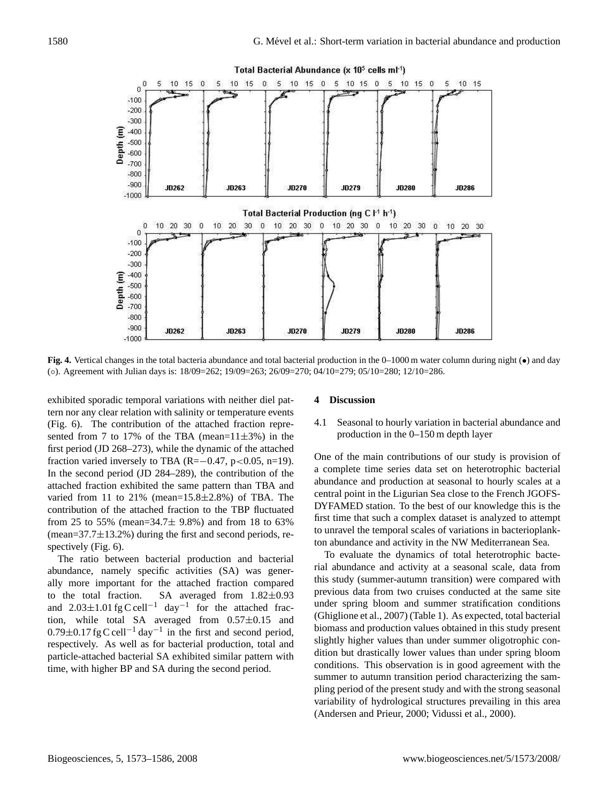

**Fig. 4.** Vertical changes in the total bacteria abundance and total bacterial production in the 0–1000 m water column during night (•) and day (◦). Agreement with Julian days is: 18/09=262; 19/09=263; 26/09=270; 04/10=279; 05/10=280; 12/10=286.

exhibited sporadic temporal variations with neither diel pattern nor any clear relation with salinity or temperature events (Fig. 6). The contribution of the attached fraction represented from 7 to 17% of the TBA (mean= $11\pm3$ %) in the first period (JD 268–273), while the dynamic of the attached fraction varied inversely to TBA (R= $-0.47$ , p<0.05, n=19). In the second period (JD 284–289), the contribution of the attached fraction exhibited the same pattern than TBA and varied from 11 to 21% (mean=15.8±2.8%) of TBA. The contribution of the attached fraction to the TBP fluctuated from 25 to 55% (mean=34.7 $\pm$  9.8%) and from 18 to 63%  $(mean=37.7\pm13.2\%)$  during the first and second periods, respectively (Fig. 6).

abundance, namely specific activities (SA) was gener-The ratio between bacterial production and bacterial ally more important for the attached fraction compared to the total fraction. SA averaged from 1.82±0.93 and  $2.03 \pm 1.01$  fg C cell<sup>-1</sup> day<sup>-1</sup> for the attached fraction, while total SA averaged from 0.57±0.15 and  $0.79 \pm 0.17$  fg C cell<sup>-1</sup> day<sup>-1</sup> in the first and second period, respectively. As well as for bacterial production, total and particle-attached bacterial SA exhibited similar pattern with time, with higher BP and SA during the second period.

#### **4 Discussion**

## 4.1 Seasonal to hourly variation in bacterial abundance and production in the 0–150 m depth layer

One of the main contributions of our study is provision of a complete time series data set on heterotrophic bacterial abundance and production at seasonal to hourly scales at a central point in the Ligurian Sea close to the French JGOFS-DYFAMED station. To the best of our knowledge this is the first time that such a complex dataset is analyzed to attempt to unravel the temporal scales of variations in bacterioplankton abundance and activity in the NW Mediterranean Sea.

variability of hydrological structures prevailing in this area To evaluate the dynamics of total heterotrophic bacterial abundance and activity at a seasonal scale, data from this study (summer-autumn transition) were compared with previous data from two cruises conducted at the same site under spring bloom and summer stratification conditions (Ghiglione et al., 2007) (Table 1). As expected, total bacterial biomass and production values obtained in this study present slightly higher values than under summer oligotrophic condition but drastically lower values than under spring bloom conditions. This observation is in good agreement with the summer to autumn transition period characterizing the sampling period of the present study and with the strong seasonal (Andersen and Prieur, 2000; Vidussi et al., 2000).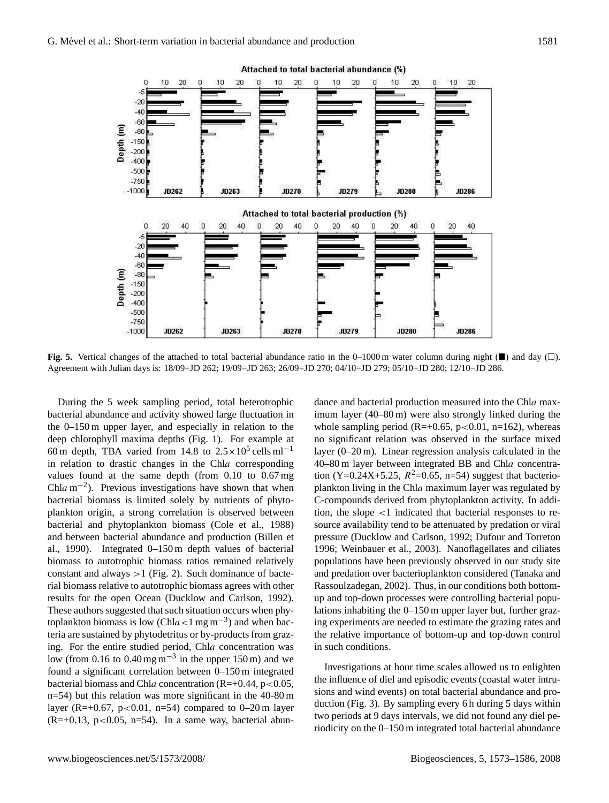10 20  $10$ 20  $\Omega$ 

 $20$ 

10

 $-20$  $-40$  $-60$ 

 $-80$  $-150$  $-200$  $-400$ 

Depth (m)



**Fig. 5.** Vertical changes of the attached to total bacterial abundance ratio in the 0–1000 m water column during night ( $\blacksquare$ ) and day ( $\Box$ ). Agreement with Julian days is: 18/09=JD 262; 19/09=JD 263; 26/09=JD 270; 04/10=JD 279; 05/10=JD 280; 12/10=JD 286.

al., 1990). Integrated 0-150 m depth values of bacterial During the 5 week sampling period, total heterotrophic bacterial abundance and activity showed large fluctuation in the 0–150 m upper layer, and especially in relation to the deep chlorophyll maxima depths (Fig. 1). For example at 60 m depth, TBA varied from 14.8 to  $2.5 \times 10^5$  cells ml<sup>-1</sup> in relation to drastic changes in the Chla corresponding values found at the same depth (from 0.10 to 0.67 mg Chla m<sup>-2</sup>). Previous investigations have shown that when bacterial biomass is limited solely by nutrients of phytoplankton origin, a strong correlation is observed between bacterial and phytoplankton biomass (Cole et al., 1988) and between bacterial abundance and production (Billen et biomass to autotrophic biomass ratios remained relatively constant and always  $>1$  (Fig. 2). Such dominance of bacterial biomass relative to autotrophic biomass agrees with other results for the open Ocean (Ducklow and Carlson, 1992). These authors suggested that such situation occurs when phytoplankton biomass is low (Chla<1 mg m<sup>-3</sup>) and when bacteria are sustained by phytodetritus or by-products from grazing. For the entire studied period, Chla concentration was low (from 0.16 to 0.40 mg m<sup>-3</sup> in the upper 150 m) and we found a significant correlation between 0–150 m integrated bacterial biomass and Chla concentration  $(R=+0.44, p<0.05,$ n=54) but this relation was more significant in the 40-80 m layer (R=+0.67, p<0.01, n=54) compared to  $0-20$  m layer  $(R=+0.13, p<0.05, n=54)$ . In a same way, bacterial abundance and bacterial production measured into the Chla maximum layer (40–80 m) were also strongly linked during the whole sampling period ( $R=+0.65$ ,  $p<0.01$ ,  $n=162$ ), whereas no significant relation was observed in the surface mixed layer (0–20 m). Linear regression analysis calculated in the 40–80 m layer between integrated BB and Chla concentration (Y=0.24X+5.25,  $R^2$ =0.65, n=54) suggest that bacterioplankton living in the Chla maximum layer was regulated by C-compounds derived from phytoplankton activity. In addition, the slope <1 indicated that bacterial responses to resource availability tend to be attenuated by predation or viral pressure (Ducklow and Carlson, 1992; Dufour and Torreton 1996; Weinbauer et al., 2003). Nanoflagellates and ciliates populations have been previously observed in our study site and predation over bacterioplankton considered (Tanaka and Rassoulzadegan, 2002). Thus, in our conditions both bottomup and top-down processes were controlling bacterial populations inhabiting the 0–150 m upper layer but, further grazing experiments are needed to estimate the grazing rates and the relative importance of bottom-up and top-down control in such conditions.

the influence of diel and episodic events (coastal water intru-Investigations at hour time scales allowed us to enlighten sions and wind events) on total bacterial abundance and production (Fig. 3). By sampling every 6 h during 5 days within two periods at 9 days intervals, we did not found any diel periodicity on the 0–150 m integrated total bacterial abundance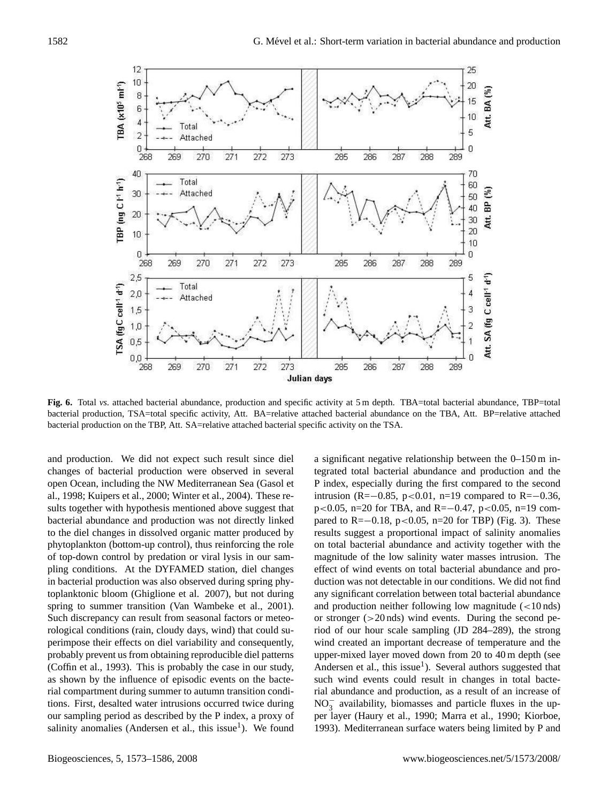

**Fig. 6.** Total *vs.* attached bacterial abundance, production and specific activity at 5 m depth. TBA=total bacterial abundance, TBP=total bacterial production, TSA=total specific activity, Att. BA=relative attached bacterial abundance on the TBA, Att. BP=relative attached bacterial production on the TBP, Att. SA=relative attached bacterial specific activity on the TSA.

of top-down control by predation or viral lysis in our samand production. We did not expect such result since diel changes of bacterial production were observed in several open Ocean, including the NW Mediterranean Sea (Gasol et al., 1998; Kuipers et al., 2000; Winter et al., 2004). These results together with hypothesis mentioned above suggest that bacterial abundance and production was not directly linked to the diel changes in dissolved organic matter produced by phytoplankton (bottom-up control), thus reinforcing the role pling conditions. At the DYFAMED station, diel changes in bacterial production was also observed during spring phytoplanktonic bloom (Ghiglione et al. 2007), but not during spring to summer transition (Van Wambeke et al., 2001). Such discrepancy can result from seasonal factors or meteorological conditions (rain, cloudy days, wind) that could superimpose their effects on diel variability and consequently, probably prevent us from obtaining reproducible diel patterns (Coffin et al., 1993). This is probably the case in our study, as shown by the influence of episodic events on the bacterial compartment during summer to autumn transition conditions. First, desalted water intrusions occurred twice during our sampling period as described by the P index, a proxy of salinity anomalies (Andersen et al., this issue<sup>1</sup>). We found

such wind events could result in changes in total bactea significant negative relationship between the 0–150 m integrated total bacterial abundance and production and the P index, especially during the first compared to the second intrusion (R=−0.85, p<0.01, n=19 compared to R=−0.36, p<0.05, n=20 for TBA, and R=−0.47, p<0.05, n=19 compared to R= $-0.18$ , p<0.05, n=20 for TBP) (Fig. 3). These results suggest a proportional impact of salinity anomalies on total bacterial abundance and activity together with the magnitude of the low salinity water masses intrusion. The effect of wind events on total bacterial abundance and production was not detectable in our conditions. We did not find any significant correlation between total bacterial abundance and production neither following low magnitude  $\left($  < 10 nds) or stronger  $(>20 \text{ nds})$  wind events. During the second period of our hour scale sampling (JD 284–289), the strong wind created an important decrease of temperature and the upper-mixed layer moved down from 20 to 40 m depth (see Andersen et al., this issue<sup>1</sup>). Several authors suggested that rial abundance and production, as a result of an increase of  $NO<sub>3</sub><sup>-</sup>$  availability, biomasses and particle fluxes in the upper layer (Haury et al., 1990; Marra et al., 1990; Kiorboe, 1993). Mediterranean surface waters being limited by P and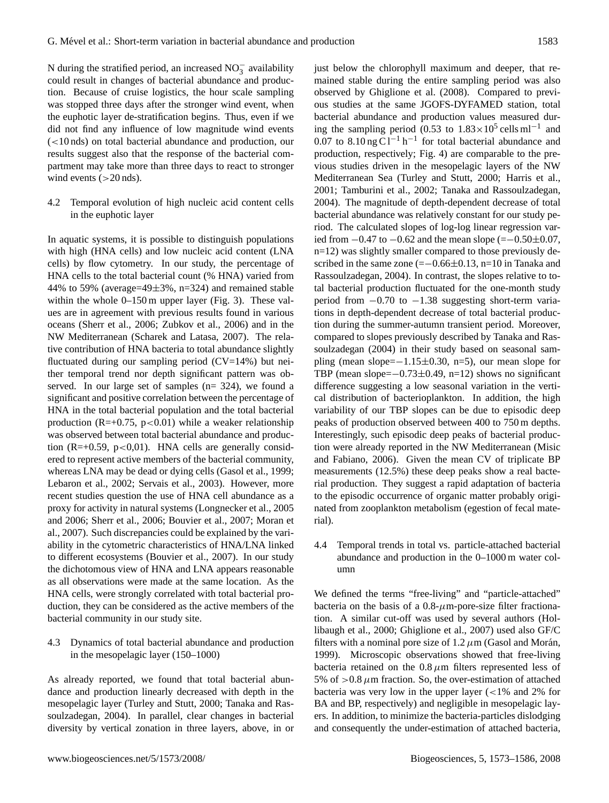N during the stratified period, an increased  $NO_3^-$  availability could result in changes of bacterial abundance and production. Because of cruise logistics, the hour scale sampling was stopped three days after the stronger wind event, when the euphotic layer de-stratification begins. Thus, even if we did not find any influence of low magnitude wind events (<10 nds) on total bacterial abundance and production, our results suggest also that the response of the bacterial compartment may take more than three days to react to stronger wind events  $(>20 \text{ nds})$ .

4.2 Temporal evolution of high nucleic acid content cells in the euphotic layer

In aquatic systems, it is possible to distinguish populations with high (HNA cells) and low nucleic acid content (LNA cells) by flow cytometry. In our study, the percentage of HNA cells to the total bacterial count (% HNA) varied from 44% to 59% (average=49 $\pm$ 3%, n=324) and remained stable within the whole 0–150 m upper layer (Fig. 3). These values are in agreement with previous results found in various oceans (Sherr et al., 2006; Zubkov et al., 2006) and in the NW Mediterranean (Scharek and Latasa, 2007). The relative contribution of HNA bacteria to total abundance slightly fluctuated during our sampling period  $(CV=14%)$  but neither temporal trend nor depth significant pattern was observed. In our large set of samples (n= 324), we found a significant and positive correlation between the percentage of HNA in the total bacterial population and the total bacterial production (R=+0.75, p<0.01) while a weaker relationship was observed between total bacterial abundance and production (R=+0.59, p<0,01). HNA cells are generally considered to represent active members of the bacterial community, whereas LNA may be dead or dying cells (Gasol et al., 1999; Lebaron et al., 2002; Servais et al., 2003). However, more recent studies question the use of HNA cell abundance as a proxy for activity in natural systems (Longnecker et al., 2005 and 2006; Sherr et al., 2006; Bouvier et al., 2007; Moran et al., 2007). Such discrepancies could be explained by the variability in the cytometric characteristics of HNA/LNA linked to different ecosystems (Bouvier et al., 2007). In our study the dichotomous view of HNA and LNA appears reasonable as all observations were made at the same location. As the HNA cells, were strongly correlated with total bacterial production, they can be considered as the active members of the bacterial community in our study site.

4.3 Dynamics of total bacterial abundance and production in the mesopelagic layer (150–1000)

As already reported, we found that total bacterial abundance and production linearly decreased with depth in the mesopelagic layer (Turley and Stutt, 2000; Tanaka and Rassoulzadegan, 2004). In parallel, clear changes in bacterial diversity by vertical zonation in three layers, above, in or just below the chlorophyll maximum and deeper, that remained stable during the entire sampling period was also observed by Ghiglione et al. (2008). Compared to previous studies at the same JGOFS-DYFAMED station, total bacterial abundance and production values measured during the sampling period  $(0.53 \text{ to } 1.83 \times 10^5 \text{ cells m}^{-1}$  and 0.07 to  $8.10 \text{ ng } \text{Cl}^{-1} \text{ h}^{-1}$  for total bacterial abundance and production, respectively; Fig. 4) are comparable to the previous studies driven in the mesopelagic layers of the NW Mediterranean Sea (Turley and Stutt, 2000; Harris et al., 2001; Tamburini et al., 2002; Tanaka and Rassoulzadegan, 2004). The magnitude of depth-dependent decrease of total bacterial abundance was relatively constant for our study period. The calculated slopes of log-log linear regression varied from  $-0.47$  to  $-0.62$  and the mean slope (= $-0.50\pm0.07$ , n=12) was slightly smaller compared to those previously described in the same zone  $(=-0.66\pm0.13, n=10)$  in Tanaka and Rassoulzadegan, 2004). In contrast, the slopes relative to total bacterial production fluctuated for the one-month study period from −0.70 to −1.38 suggesting short-term variations in depth-dependent decrease of total bacterial production during the summer-autumn transient period. Moreover, compared to slopes previously described by Tanaka and Rassoulzadegan (2004) in their study based on seasonal sampling (mean slope=−1.15±0.30, n=5), our mean slope for TBP (mean slope= $-0.73\pm0.49$ , n=12) shows no significant difference suggesting a low seasonal variation in the vertical distribution of bacterioplankton. In addition, the high variability of our TBP slopes can be due to episodic deep peaks of production observed between 400 to 750 m depths. Interestingly, such episodic deep peaks of bacterial production were already reported in the NW Mediterranean (Misic and Fabiano, 2006). Given the mean CV of triplicate BP measurements (12.5%) these deep peaks show a real bacterial production. They suggest a rapid adaptation of bacteria to the episodic occurrence of organic matter probably originated from zooplankton metabolism (egestion of fecal material).

4.4 Temporal trends in total vs. particle-attached bacterial abundance and production in the 0–1000 m water column

We defined the terms "free-living" and "particle-attached" bacteria on the basis of a  $0.8 - \mu$ m-pore-size filter fractionation. A similar cut-off was used by several authors (Hollibaugh et al., 2000; Ghiglione et al., 2007) used also GF/C filters with a nominal pore size of  $1.2 \mu$ m (Gasol and Morán, 1999). Microscopic observations showed that free-living bacteria retained on the  $0.8 \mu m$  filters represented less of 5% of  $> 0.8 \mu$ m fraction. So, the over-estimation of attached bacteria was very low in the upper layer  $\left($  < 1% and 2% for BA and BP, respectively) and negligible in mesopelagic layers. In addition, to minimize the bacteria-particles dislodging and consequently the under-estimation of attached bacteria,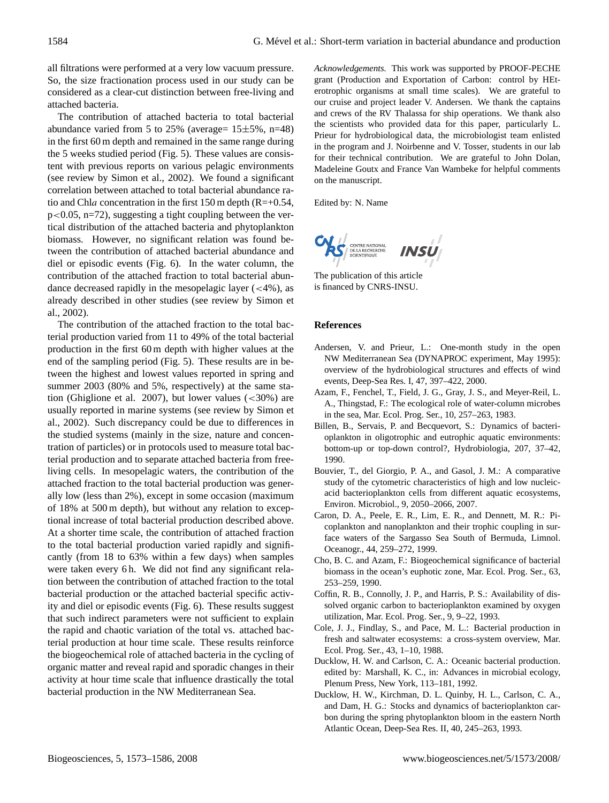all filtrations were performed at a very low vacuum pressure. So, the size fractionation process used in our study can be considered as a clear-cut distinction between free-living and attached bacteria.

The contribution of attached bacteria to total bacterial abundance varied from 5 to 25% (average=  $15±5%$ , n=48) in the first 60 m depth and remained in the same range during the 5 weeks studied period (Fig. 5). These values are consistent with previous reports on various pelagic environments (see review by Simon et al., 2002). We found a significant correlation between attached to total bacterial abundance ratio and Chla concentration in the first 150 m depth (R=+0.54, p<0.05, n=72), suggesting a tight coupling between the vertical distribution of the attached bacteria and phytoplankton biomass. However, no significant relation was found between the contribution of attached bacterial abundance and diel or episodic events (Fig. 6). In the water column, the contribution of the attached fraction to total bacterial abundance decreased rapidly in the mesopelagic layer  $(<4\%)$ , as already described in other studies (see review by Simon et al., 2002).

The contribution of the attached fraction to the total bacterial production varied from 11 to 49% of the total bacterial production in the first 60 m depth with higher values at the end of the sampling period (Fig. 5). These results are in between the highest and lowest values reported in spring and summer 2003 (80% and 5%, respectively) at the same station (Ghiglione et al. 2007), but lower values  $\left( \langle 30\% \rangle \right)$  are usually reported in marine systems (see review by Simon et al., 2002). Such discrepancy could be due to differences in the studied systems (mainly in the size, nature and concentration of particles) or in protocols used to measure total bacterial production and to separate attached bacteria from freeliving cells. In mesopelagic waters, the contribution of the attached fraction to the total bacterial production was generally low (less than 2%), except in some occasion (maximum of 18% at 500 m depth), but without any relation to exceptional increase of total bacterial production described above. At a shorter time scale, the contribution of attached fraction to the total bacterial production varied rapidly and significantly (from 18 to 63% within a few days) when samples were taken every 6 h. We did not find any significant relation between the contribution of attached fraction to the total bacterial production or the attached bacterial specific activity and diel or episodic events (Fig. 6). These results suggest that such indirect parameters were not sufficient to explain the rapid and chaotic variation of the total vs. attached bacterial production at hour time scale. These results reinforce the biogeochemical role of attached bacteria in the cycling of organic matter and reveal rapid and sporadic changes in their activity at hour time scale that influence drastically the total bacterial production in the NW Mediterranean Sea.

*Acknowledgements.* This work was supported by PROOF-PECHE grant (Production and Exportation of Carbon: control by HEterotrophic organisms at small time scales). We are grateful to our cruise and project leader V. Andersen. We thank the captains and crews of the RV Thalassa for ship operations. We thank also the scientists who provided data for this paper, particularly L. Prieur for hydrobiological data, the microbiologist team enlisted in the program and J. Noirbenne and V. Tosser, students in our lab for their technical contribution. We are grateful to John Dolan, Madeleine Goutx and France Van Wambeke for helpful comments on the manuscript.

Edited by: N. Name



The publication of this article is financed by CNRS-INSU.

#### **References**

- Andersen, V. and Prieur, L.: One-month study in the open NW Mediterranean Sea (DYNAPROC experiment, May 1995): overview of the hydrobiological structures and effects of wind events, Deep-Sea Res. I, 47, 397–422, 2000.
- Azam, F., Fenchel, T., Field, J. G., Gray, J. S., and Meyer-Reil, L. A., Thingstad, F.: The ecological role of water-column microbes in the sea, Mar. Ecol. Prog. Ser., 10, 257–263, 1983.
- Billen, B., Servais, P. and Becquevort, S.: Dynamics of bacterioplankton in oligotrophic and eutrophic aquatic environments: bottom-up or top-down control?, Hydrobiologia, 207, 37–42, 1990.
- Bouvier, T., del Giorgio, P. A., and Gasol, J. M.: A comparative study of the cytometric characteristics of high and low nucleicacid bacterioplankton cells from different aquatic ecosystems, Environ. Microbiol., 9, 2050–2066, 2007.
- Caron, D. A., Peele, E. R., Lim, E. R., and Dennett, M. R.: Picoplankton and nanoplankton and their trophic coupling in surface waters of the Sargasso Sea South of Bermuda, Limnol. Oceanogr., 44, 259–272, 1999.
- Cho, B. C. and Azam, F.: Biogeochemical significance of bacterial biomass in the ocean's euphotic zone, Mar. Ecol. Prog. Ser., 63, 253–259, 1990.
- Coffin, R. B., Connolly, J. P., and Harris, P. S.: Availability of dissolved organic carbon to bacterioplankton examined by oxygen utilization, Mar. Ecol. Prog. Ser., 9, 9–22, 1993.
- Cole, J. J., Findlay, S., and Pace, M. L.: Bacterial production in fresh and saltwater ecosystems: a cross-system overview, Mar. Ecol. Prog. Ser., 43, 1–10, 1988.
- Ducklow, H. W. and Carlson, C. A.: Oceanic bacterial production. edited by: Marshall, K. C., in: Advances in microbial ecology, Plenum Press, New York, 113–181, 1992.
- Ducklow, H. W., Kirchman, D. L. Quinby, H. L., Carlson, C. A., and Dam, H. G.: Stocks and dynamics of bacterioplankton carbon during the spring phytoplankton bloom in the eastern North Atlantic Ocean, Deep-Sea Res. II, 40, 245–263, 1993.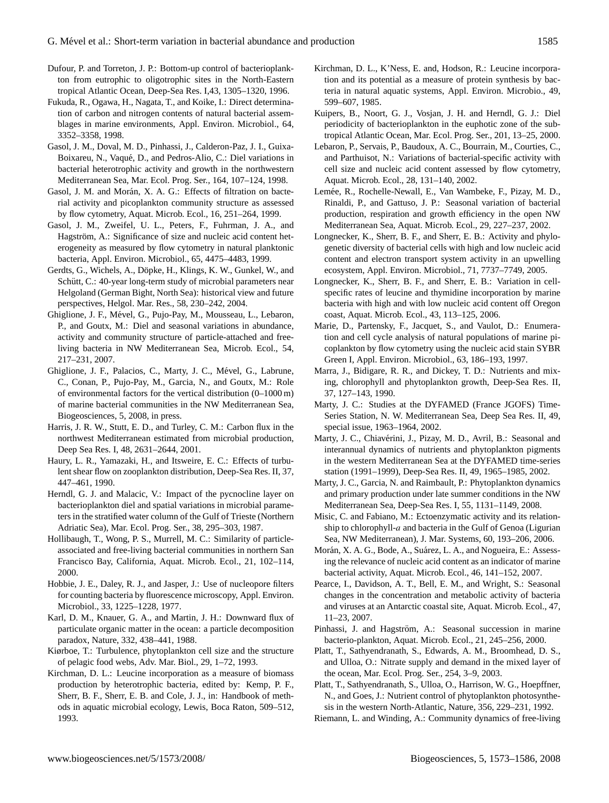- Dufour, P. and Torreton, J. P.: Bottom-up control of bacterioplankton from eutrophic to oligotrophic sites in the North-Eastern tropical Atlantic Ocean, Deep-Sea Res. I,43, 1305–1320, 1996.
- Fukuda, R., Ogawa, H., Nagata, T., and Koike, I.: Direct determination of carbon and nitrogen contents of natural bacterial assemblages in marine environments, Appl. Environ. Microbiol., 64, 3352–3358, 1998.
- Gasol, J. M., Doval, M. D., Pinhassi, J., Calderon-Paz, J. I., Guixa-Boixareu, N., Vaque, D., and Pedros-Alio, C.: Diel variations in ´ bacterial heterotrophic activity and growth in the northwestern Mediterranean Sea, Mar. Ecol. Prog. Ser., 164, 107–124, 1998.
- Gasol, J. M. and Morán, X. A. G.: Effects of filtration on bacterial activity and picoplankton community structure as assessed by flow cytometry, Aquat. Microb. Ecol., 16, 251–264, 1999.
- Gasol, J. M., Zweifel, U. L., Peters, F., Fuhrman, J. A., and Hagström, A.: Significance of size and nucleic acid content heterogeneity as measured by flow cytometry in natural planktonic bacteria, Appl. Environ. Microbiol., 65, 4475–4483, 1999.
- Gerdts, G., Wichels, A., Döpke, H., Klings, K. W., Gunkel, W., and Schütt, C.: 40-year long-term study of microbial parameters near Helgoland (German Bight, North Sea): historical view and future perspectives, Helgol. Mar. Res., 58, 230–242, 2004.
- Ghiglione, J. F., Mével, G., Pujo-Pay, M., Mousseau, L., Lebaron, P., and Goutx, M.: Diel and seasonal variations in abundance, activity and community structure of particle-attached and freeliving bacteria in NW Mediterranean Sea, Microb. Ecol., 54, 217–231, 2007.
- Ghiglione, J. F., Palacios, C., Marty, J. C., Mével, G., Labrune, C., Conan, P., Pujo-Pay, M., Garcia, N., and Goutx, M.: Role of environmental factors for the vertical distribution (0–1000 m) of marine bacterial communities in the NW Mediterranean Sea, Biogeosciences, 5, 2008, in press.
- Harris, J. R. W., Stutt, E. D., and Turley, C. M.: Carbon flux in the northwest Mediterranean estimated from microbial production, Deep Sea Res. I, 48, 2631–2644, 2001.
- Haury, L. R., Yamazaki, H., and Itsweire, E. C.: Effects of turbulent shear flow on zooplankton distribution, Deep-Sea Res. II, 37, 447–461, 1990.
- Herndl, G. J. and Malacic, V.: Impact of the pycnocline layer on bacterioplankton diel and spatial variations in microbial parameters in the stratified water column of the Gulf of Trieste (Northern Adriatic Sea), Mar. Ecol. Prog. Ser., 38, 295–303, 1987.
- Hollibaugh, T., Wong, P. S., Murrell, M. C.: Similarity of particleassociated and free-living bacterial communities in northern San Francisco Bay, California, Aquat. Microb. Ecol., 21, 102–114, 2000.
- Hobbie, J. E., Daley, R. J., and Jasper, J.: Use of nucleopore filters for counting bacteria by fluorescence microscopy, Appl. Environ. Microbiol., 33, 1225–1228, 1977.
- Karl, D. M., Knauer, G. A., and Martin, J. H.: Downward flux of particulate organic matter in the ocean: a particle decomposition paradox, Nature, 332, 438–441, 1988.
- Kiørboe, T.: Turbulence, phytoplankton cell size and the structure of pelagic food webs, Adv. Mar. Biol., 29, 1–72, 1993.
- Kirchman, D. L.: Leucine incorporation as a measure of biomass production by heterotrophic bacteria, edited by: Kemp, P. F., Sherr, B. F., Sherr, E. B. and Cole, J. J., in: Handbook of methods in aquatic microbial ecology, Lewis, Boca Raton, 509–512, 1993.
- Kirchman, D. L., K'Ness, E. and, Hodson, R.: Leucine incorporation and its potential as a measure of protein synthesis by bacteria in natural aquatic systems, Appl. Environ. Microbio., 49, 599–607, 1985.
- Kuipers, B., Noort, G. J., Vosjan, J. H. and Herndl, G. J.: Diel periodicity of bacterioplankton in the euphotic zone of the subtropical Atlantic Ocean, Mar. Ecol. Prog. Ser., 201, 13–25, 2000.
- Lebaron, P., Servais, P., Baudoux, A. C., Bourrain, M., Courties, C., and Parthuisot, N.: Variations of bacterial-specific activity with cell size and nucleic acid content assessed by flow cytometry, Aquat. Microb. Ecol., 28, 131–140, 2002.
- Lemée, R., Rochelle-Newall, E., Van Wambeke, F., Pizay, M. D., Rinaldi, P., and Gattuso, J. P.: Seasonal variation of bacterial production, respiration and growth efficiency in the open NW Mediterranean Sea, Aquat. Microb. Ecol., 29, 227–237, 2002.
- Longnecker, K., Sherr, B. F., and Sherr, E. B.: Activity and phylogenetic diversity of bacterial cells with high and low nucleic acid content and electron transport system activity in an upwelling ecosystem, Appl. Environ. Microbiol., 71, 7737–7749, 2005.
- Longnecker, K., Sherr, B. F., and Sherr, E. B.: Variation in cellspecific rates of leucine and thymidine incorporation by marine bacteria with high and with low nucleic acid content off Oregon coast, Aquat. Microb. Ecol., 43, 113–125, 2006.
- Marie, D., Partensky, F., Jacquet, S., and Vaulot, D.: Enumeration and cell cycle analysis of natural populations of marine picoplankton by flow cytometry using the nucleic acid stain SYBR Green I, Appl. Environ. Microbiol., 63, 186–193, 1997.
- Marra, J., Bidigare, R. R., and Dickey, T. D.: Nutrients and mixing, chlorophyll and phytoplankton growth, Deep-Sea Res. II, 37, 127–143, 1990.
- Marty, J. C.: Studies at the DYFAMED (France JGOFS) Time-Series Station, N. W. Mediterranean Sea, Deep Sea Res. II, 49, special issue, 1963–1964, 2002.
- Marty, J. C., Chiavérini, J., Pizay, M. D., Avril, B.: Seasonal and interannual dynamics of nutrients and phytoplankton pigments in the western Mediterranean Sea at the DYFAMED time-series station (1991–1999), Deep-Sea Res. II, 49, 1965–1985, 2002.
- Marty, J. C., Garcia, N. and Raimbault, P.: Phytoplankton dynamics and primary production under late summer conditions in the NW Mediterranean Sea, Deep-Sea Res. I, 55, 1131–1149, 2008.
- Misic, C. and Fabiano, M.: Ectoenzymatic activity and its relationship to chlorophyll- $a$  and bacteria in the Gulf of Genoa (Ligurian Sea, NW Mediterranean), J. Mar. Systems, 60, 193–206, 2006.
- Morán, X. A. G., Bode, A., Suárez, L. A., and Nogueira, E.: Assessing the relevance of nucleic acid content as an indicator of marine bacterial activity, Aquat. Microb. Ecol., 46, 141–152, 2007.
- Pearce, I., Davidson, A. T., Bell, E. M., and Wright, S.: Seasonal changes in the concentration and metabolic activity of bacteria and viruses at an Antarctic coastal site, Aquat. Microb. Ecol., 47, 11–23, 2007.
- Pinhassi, J. and Hagström, A.: Seasonal succession in marine bacterio-plankton, Aquat. Microb. Ecol., 21, 245–256, 2000.
- Platt, T., Sathyendranath, S., Edwards, A. M., Broomhead, D. S., and Ulloa, O.: Nitrate supply and demand in the mixed layer of the ocean, Mar. Ecol. Prog. Ser., 254, 3–9, 2003.
- Platt, T., Sathyendranath, S., Ulloa, O., Harrison, W. G., Hoepffner, N., and Goes, J.: Nutrient control of phytoplankton photosynthesis in the western North-Atlantic, Nature, 356, 229–231, 1992.
- Riemann, L. and Winding, A.: Community dynamics of free-living